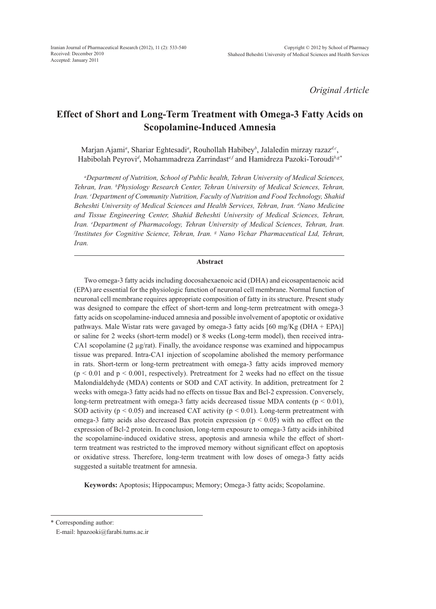*Original Article*

# **Effect of Short and Long-Term Treatment with Omega-3 Fatty Acids on Scopolamine-Induced Amnesia**

Marjan Ajami*<sup>a</sup>* , Shariar Eghtesadi*<sup>a</sup>* , Rouhollah Habibey*<sup>b</sup>* , Jalaledin mirzay razaz*d,c*, Habibolah Peyrovi*<sup>d</sup>* , Mohammadreza Zarrindast*e,f* and Hamidreza Pazoki-Toroudi*b,g\**

*a Department of Nutrition, School of Public health, Tehran University of Medical Sciences, Tehran, Iran. b Physiology Research Center, Tehran University of Medical Sciences, Tehran, Iran. c Department of Community Nutrition, Faculty of Nutrition and Food Technology, Shahid Beheshti University of Medical Sciences and Health Services, Tehran, Iran. d Nano Medicine and Tissue Engineering Center, Shahid Beheshti University of Medical Sciences, Tehran,*  Iran. <sup>e</sup>Department of Pharmacology, Tehran University of Medical Sciences, Tehran, Iran. <sup>*fInstitutes for Cognitive Science, Tehran, Iran. <sup>g</sup> Nano Vichar Pharmaceutical Ltd, Tehran,*</sup> *Iran.*

## **Abstract**

Two omega-3 fatty acids including docosahexaenoic acid (DHA) and eicosapentaenoic acid (EPA) are essential for the physiologic function of neuronal cell membrane. Normal function of neuronal cell membrane requires appropriate composition of fatty in its structure. Present study was designed to compare the effect of short-term and long-term pretreatment with omega-3 fatty acids on scopolamine-induced amnesia and possible involvement of apoptotic or oxidative pathways. Male Wistar rats were gavaged by omega-3 fatty acids [60 mg/Kg (DHA + EPA)] or saline for 2 weeks (short-term model) or 8 weeks (Long-term model), then received intra-CA1 scopolamine (2  $\mu$ g/rat). Finally, the avoidance response was examined and hippocampus tissue was prepared. Intra-CA1 injection of scopolamine abolished the memory performance in rats. Short-term or long-term pretreatment with omega-3 fatty acids improved memory  $(p < 0.01$  and  $p < 0.001$ , respectively). Pretreatment for 2 weeks had no effect on the tissue Malondialdehyde (MDA) contents or SOD and CAT activity. In addition, pretreatment for 2 weeks with omega-3 fatty acids had no effects on tissue Bax and Bcl-2 expression. Conversely, long-term pretreatment with omega-3 fatty acids decreased tissue MDA contents  $(p < 0.01)$ , SOD activity ( $p < 0.05$ ) and increased CAT activity ( $p < 0.01$ ). Long-term pretreatment with omega-3 fatty acids also decreased Bax protein expression ( $p < 0.05$ ) with no effect on the expression of Bcl-2 protein. In conclusion, long-term exposure to omega-3 fatty acids inhibited the scopolamine-induced oxidative stress, apoptosis and amnesia while the effect of shortterm treatment was restricted to the improved memory without significant effect on apoptosis or oxidative stress. Therefore, long-term treatment with low doses of omega-3 fatty acids suggested a suitable treatment for amnesia.

**Keywords:** Apoptosis; Hippocampus; Memory; Omega-3 fatty acids; Scopolamine.

\* Corresponding author:

E-mail: hpazooki@farabi.tums.ac.ir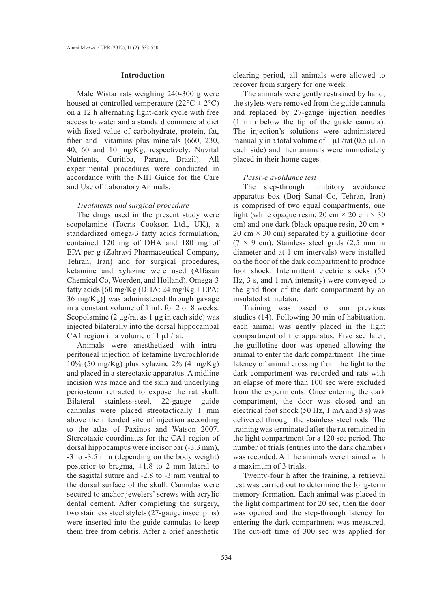#### **Introduction**

Male Wistar rats weighing 240-300 g were housed at controlled temperature  $(22^{\circ}C \pm 2^{\circ}C)$ on a 12 h alternating light-dark cycle with free access to water and a standard commercial diet with fixed value of carbohydrate, protein, fat, fiber and vitamins plus minerals (660, 230, 40, 60 and 10 mg/Kg, respectively; Nuvital Nutrients, Curitiba, Parana, Brazil). All experimental procedures were conducted in accordance with the NIH Guide for the Care and Use of Laboratory Animals.

## *Treatments and surgical procedure*

The drugs used in the present study were scopolamine (Tocris Cookson Ltd., UK), a standardized omega-3 fatty acids formulation, contained 120 mg of DHA and 180 mg of EPA per g (Zahravi Pharmaceutical Company, Tehran, Iran) and for surgical procedures, ketamine and xylazine were used (Alfasan Chemical Co, Woerden, and Holland). Omega-3 fatty acids  $[60 \text{ mg/Kg}$  (DHA: 24 mg/Kg + EPA: 36 mg/Kg)] was administered through gavage in a constant volume of 1 mL for 2 or 8 weeks. Scopolamine (2 μg/rat as 1 μg in each side) was injected bilaterally into the dorsal hippocampal CA1 region in a volume of 1 μL/rat.

Animals were anesthetized with intraperitoneal injection of ketamine hydrochloride 10% (50 mg/Kg) plus xylazine 2% (4 mg/Kg) and placed in a stereotaxic apparatus. A midline incision was made and the skin and underlying periosteum retracted to expose the rat skull. Bilateral stainless-steel, 22-gauge guide cannulas were placed streotactically 1 mm above the intended site of injection according to the atlas of Paxinos and Watson 2007. Stereotaxic coordinates for the CA1 region of dorsal hippocampus were incisor bar (-3.3 mm), -3 to -3.5 mm (depending on the body weight) posterior to bregma,  $\pm 1.8$  to 2 mm lateral to the sagittal suture and -2.8 to -3 mm ventral to the dorsal surface of the skull. Cannulas were secured to anchor jewelers' screws with acrylic dental cement. After completing the surgery, two stainless steel stylets (27-gauge insect pins) were inserted into the guide cannulas to keep them free from debris. After a brief anesthetic

clearing period, all animals were allowed to recover from surgery for one week.

The animals were gently restrained by hand; the stylets were removed from the guide cannula and replaced by 27-gauge injection needles (1 mm below the tip of the guide cannula). The injection's solutions were administered manually in a total volume of 1  $\mu$ L/rat (0.5  $\mu$ L in each side) and then animals were immediately placed in their home cages.

#### *Passive avoidance test*

The step-through inhibitory avoidance apparatus box (Borj Sanat Co, Tehran, Iran) is comprised of two equal compartments, one light (white opaque resin, 20 cm  $\times$  20 cm  $\times$  30 cm) and one dark (black opaque resin, 20 cm  $\times$ 20 cm  $\times$  30 cm) separated by a guillotine door  $(7 \times 9 \text{ cm})$ . Stainless steel grids  $(2.5 \text{ mm in})$ diameter and at 1 cm intervals) were installed on the floor of the dark compartment to produce foot shock. Intermittent electric shocks (50 Hz, 3 s, and 1 mA intensity) were conveyed to the grid floor of the dark compartment by an insulated stimulator.

Training was based on our previous studies (14). Following 30 min of habituation, each animal was gently placed in the light compartment of the apparatus. Five sec later, the guillotine door was opened allowing the animal to enter the dark compartment. The time latency of animal crossing from the light to the dark compartment was recorded and rats with an elapse of more than 100 sec were excluded from the experiments. Once entering the dark compartment, the door was closed and an electrical foot shock (50 Hz, 1 mA and 3 s) was delivered through the stainless steel rods. The training was terminated after the rat remained in the light compartment for a 120 sec period. The number of trials (entries into the dark chamber) was recorded. All the animals were trained with a maximum of 3 trials.

Twenty-four h after the training, a retrieval test was carried out to determine the long-term memory formation. Each animal was placed in the light compartment for 20 sec, then the door was opened and the step-through latency for entering the dark compartment was measured. The cut-off time of 300 sec was applied for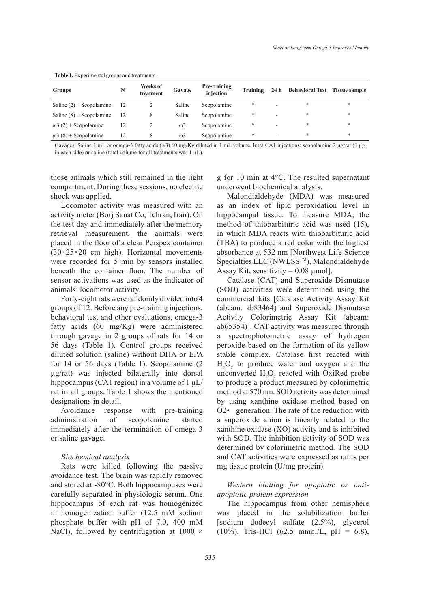| <b>rapic 1.</b> Experimental groups and treatments. |                       |        |                                  |  |                                             |  |
|-----------------------------------------------------|-----------------------|--------|----------------------------------|--|---------------------------------------------|--|
| Groups                                              | Weeks of<br>treatment | Gavage | <b>Pre-training</b><br>iniection |  | Training 24 h Behavioral Test Tissue sample |  |

|  | <b>Table 1.</b> Experimental groups and treatments. |  |
|--|-----------------------------------------------------|--|
|--|-----------------------------------------------------|--|

Saline  $(2)$  + Scopolamine 12 2 Saline Scopolamine \* Saline  $(8)$  + Scopolamine 12 8 Saline Scopolamine \* - \*  $\omega$ 3 (2) + Scopolamine 12 2  $\omega$ 3 Scopolamine \* - \*  $\omega_3$  (8) + Scopolamine 12 8  $\omega_3$  Scopolamine \* - \* \* \*

Gavages: Saline 1 mL or omega-3 fatty acids (ω3) 60 mg/Kg diluted in 1 mL volume. Intra CA1 injections: scopolamine 2 μg/rat (1 μg in each side) or saline (total volume for all treatments was  $1 \mu L$ ).

those animals which still remained in the light compartment. During these sessions, no electric shock was applied.

Locomotor activity was measured with an activity meter (Borj Sanat Co, Tehran, Iran). On the test day and immediately after the memory retrieval measurement, the animals were placed in the floor of a clear Perspex container (30×25×20 cm high). Horizontal movements were recorded for 5 min by sensors installed beneath the container floor. The number of sensor activations was used as the indicator of animals' locomotor activity.

Forty-eight rats were randomly divided into 4 groups of 12. Before any pre-training injections, behavioral test and other evaluations, omega-3 fatty acids (60 mg/Kg) were administered through gavage in 2 groups of rats for 14 or 56 days (Table 1). Control groups received diluted solution (saline) without DHA or EPA for 14 or 56 days (Table 1). Scopolamine (2 µg/rat) was injected bilaterally into dorsal hippocampus (CA1 region) in a volume of 1 μL/ rat in all groups. Table 1 shows the mentioned designations in detail.

Avoidance response with pre-training administration of scopolamine started immediately after the termination of omega-3 or saline gavage.

## *Biochemical analysis*

Rats were killed following the passive avoidance test. The brain was rapidly removed and stored at -80°C. Both hippocampuses were carefully separated in physiologic serum. One hippocampus of each rat was homogenized in homogenization buffer (12.5 mM sodium phosphate buffer with pH of 7.0, 400 mM NaCl), followed by centrifugation at  $1000 \times$ 

g for 10 min at 4°C. The resulted supernatant underwent biochemical analysis.

Malondialdehyde (MDA) was measured as an index of lipid peroxidation level in hippocampal tissue. To measure MDA, the method of thiobarbituric acid was used (15), in which MDA reacts with thiobarbituric acid (TBA) to produce a red color with the highest absorbance at 532 nm [Northwest Life Science Specialties LLC (NWLSSTM), Malondialdehyde Assay Kit, sensitivity =  $0.08 \mu$  mol].

Catalase (CAT) and Superoxide Dismutase (SOD) activities were determined using the commercial kits [Catalase Activity Assay Kit (abcam: ab83464) and Superoxide Dismutase Activity Colorimetric Assay Kit (abcam: ab65354)]. CAT activity was measured through a spectrophotometric assay of hydrogen peroxide based on the formation of its yellow stable complex. Catalase first reacted with  $H_2O_2$  to produce water and oxygen and the unconverted  $H_2O_2$  reacted with OxiRed probe to produce a product measured by colorimetric method at 570 nm. SOD activity was determined by using xanthine oxidase method based on O2•− generation. The rate of the reduction with a superoxide anion is linearly related to the xanthine oxidase (XO) activity and is inhibited with SOD. The inhibition activity of SOD was determined by colorimetric method. The SOD and CAT activities were expressed as units per mg tissue protein (U/mg protein).

*Western blotting for apoptotic or antiapoptotic protein expression*

The hippocampus from other hemisphere was placed in the solubilization buffer [sodium dodecyl sulfate (2.5%), glycerol  $(10\%)$ , Tris-HCl  $(62.5 \text{ mmol/L}, \text{pH} = 6.8)$ ,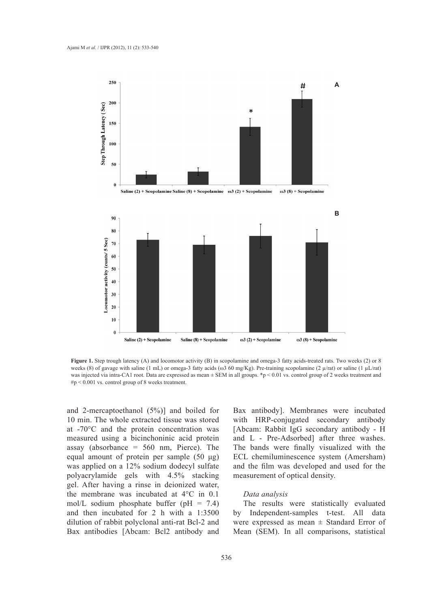

**Figure 1.** Step trough latency (A) and locomotor activity (B) in scopolamine and omega-3 fatty acids-treated rats. Two weeks (2) or 8 weeks (8) of gavage with saline (1 mL) or omega-3 fatty acids (ω3 60 mg/Kg). Pre-training scopolamine (2 µ/rat) or saline (1 µL/rat) was injected via intra-CA1 root. Data are expressed as mean  $\pm$  SEM in all groups. \*p < 0.01 vs. control group of 2 weeks treatment and  $\#p \leq 0.001$  vs. control group of 8 weeks treatment.

and 2-mercaptoethanol (5%)] and boiled for 10 min. The whole extracted tissue was stored at -70°C and the protein concentration was measured using a bicinchoninic acid protein assay (absorbance =  $560 \text{ nm}$ , Pierce). The equal amount of protein per sample (50 μg) was applied on a 12% sodium dodecyl sulfate polyacrylamide gels with 4.5% stacking gel. After having a rinse in deionized water, the membrane was incubated at 4°C in 0.1 mol/L sodium phosphate buffer ( $pH = 7.4$ ) and then incubated for 2 h with a 1:3500 dilution of rabbit polyclonal anti-rat Bcl-2 and Bax antibodies [Abcam: Bcl2 antibody and

Bax antibody]. Membranes were incubated with HRP-conjugated secondary antibody [Abcam: Rabbit IgG secondary antibody - H and L - Pre-Adsorbed] after three washes. The bands were finally visualized with the ECL chemiluminescence system (Amersham) and the film was developed and used for the measurement of optical density.

### *Data analysis*

The results were statistically evaluated by Independent-samples t-test. All data were expressed as mean ± Standard Error of Mean (SEM). In all comparisons, statistical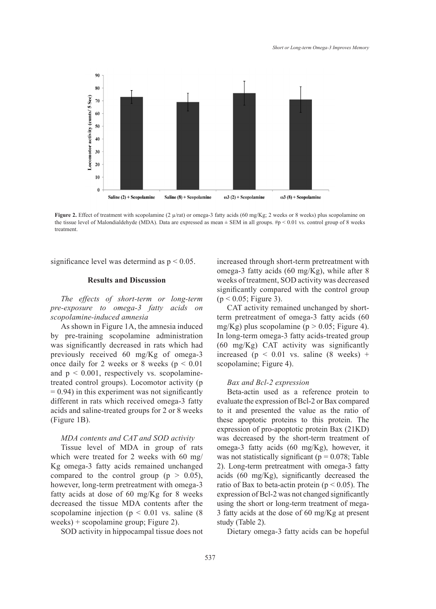

**Figure 2.** Effect of treatment with scopolamine (2  $\mu$ /rat) or omega-3 fatty acids (60 mg/Kg; 2 weeks or 8 weeks) plus scopolamine on the tissue level of Malondialdehyde (MDA). Data are expressed as mean  $\pm$  SEM in all groups.  $\#p$  < 0.01 vs. control group of 8 weeks treatment.

significance level was determind as  $p < 0.05$ .

### **Results and Discussion**

*The effects of short-term or long-term pre-exposure to omega-3 fatty acids on scopolamine-induced amnesia*

As shown in Figure 1A, the amnesia induced by pre-training scopolamine administration was significantly decreased in rats which had previously received 60 mg/Kg of omega-3 once daily for 2 weeks or 8 weeks ( $p < 0.01$ ) and  $p < 0.001$ , respectively vs. scopolaminetreated control groups). Locomotor activity (p  $= 0.94$ ) in this experiment was not significantly different in rats which received omega-3 fatty acids and saline-treated groups for 2 or 8 weeks (Figure 1B).

## *MDA contents and CAT and SOD activity*

Tissue level of MDA in group of rats which were treated for 2 weeks with 60 mg/ Kg omega-3 fatty acids remained unchanged compared to the control group ( $p > 0.05$ ), however, long-term pretreatment with omega-3 fatty acids at dose of 60 mg/Kg for 8 weeks decreased the tissue MDA contents after the scopolamine injection ( $p < 0.01$  vs. saline (8) weeks) + scopolamine group; Figure 2).

SOD activity in hippocampal tissue does not

increased through short-term pretreatment with omega-3 fatty acids (60 mg/Kg), while after 8 weeks of treatment, SOD activity was decreased significantly compared with the control group  $(p < 0.05;$  Figure 3).

CAT activity remained unchanged by shortterm pretreatment of omega-3 fatty acids (60 mg/Kg) plus scopolamine ( $p > 0.05$ ; Figure 4). In long-term omega-3 fatty acids-treated group (60 mg/Kg) CAT activity was significantly increased ( $p < 0.01$  vs. saline (8 weeks) + scopolamine; Figure 4).

## *Bax and Bcl-2 expression*

Beta-actin used as a reference protein to evaluate the expression of Bcl-2 or Bax compared to it and presented the value as the ratio of these apoptotic proteins to this protein. The expression of pro-apoptotic protein Bax (21KD) was decreased by the short-term treatment of omega-3 fatty acids (60 mg/Kg), however, it was not statistically significant ( $p = 0.078$ ; Table 2). Long-term pretreatment with omega-3 fatty acids (60 mg/Kg), significantly decreased the ratio of Bax to beta-actin protein ( $p < 0.05$ ). The expression of Bcl-2 was not changed significantly using the short or long-term treatment of mega-3 fatty acids at the dose of 60 mg/Kg at present study (Table 2).

Dietary omega-3 fatty acids can be hopeful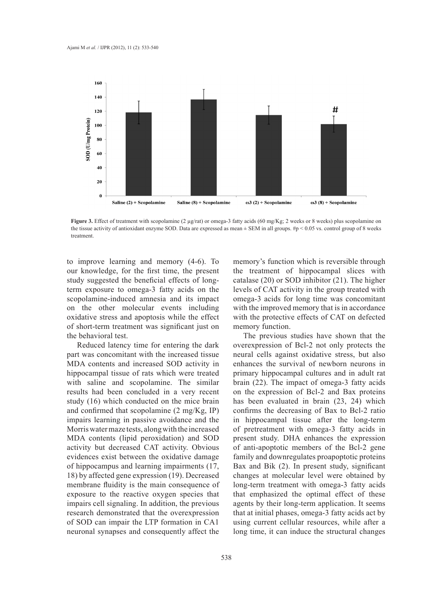

**Figure 3.** Effect of treatment with scopolamine (2 µg/rat) or omega-3 fatty acids (60 mg/Kg; 2 weeks or 8 weeks) plus scopolamine on the tissue activity of antioxidant enzyme SOD. Data are expressed as mean ± SEM in all groups. #p < 0.05 vs. control group of 8 weeks treatment.

to improve learning and memory (4-6). To our knowledge, for the first time, the present study suggested the beneficial effects of longterm exposure to omega-3 fatty acids on the scopolamine-induced amnesia and its impact on the other molecular events including oxidative stress and apoptosis while the effect of short-term treatment was significant just on the behavioral test.

Reduced latency time for entering the dark part was concomitant with the increased tissue MDA contents and increased SOD activity in hippocampal tissue of rats which were treated with saline and scopolamine. The similar results had been concluded in a very recent study (16) which conducted on the mice brain and confirmed that scopolamine (2 mg/Kg, IP) impairs learning in passive avoidance and the Morris water maze tests, along with the increased MDA contents (lipid peroxidation) and SOD activity but decreased CAT activity. Obvious evidences exist between the oxidative damage of hippocampus and learning impairments (17, 18) by affected gene expression (19). Decreased membrane fluidity is the main consequence of exposure to the reactive oxygen species that impairs cell signaling. In addition, the previous research demonstrated that the overexpression of SOD can impair the LTP formation in CA1 neuronal synapses and consequently affect the

memory's function which is reversible through the treatment of hippocampal slices with catalase (20) or SOD inhibitor (21). The higher levels of CAT activity in the group treated with omega-3 acids for long time was concomitant with the improved memory that is in accordance with the protective effects of CAT on defected memory function.

The previous studies have shown that the overexpression of Bcl-2 not only protects the neural cells against oxidative stress, but also enhances the survival of newborn neurons in primary hippocampal cultures and in adult rat brain (22). The impact of omega-3 fatty acids on the expression of Bcl-2 and Bax proteins has been evaluated in brain (23, 24) which confirms the decreasing of Bax to Bcl-2 ratio in hippocampal tissue after the long-term of pretreatment with omega-3 fatty acids in present study. DHA enhances the expression of anti-apoptotic members of the Bcl-2 gene family and downregulates proapoptotic proteins Bax and Bik (2). In present study, significant changes at molecular level were obtained by long-term treatment with omega-3 fatty acids that emphasized the optimal effect of these agents by their long-term application. It seems that at initial phases, omega-3 fatty acids act by using current cellular resources, while after a long time, it can induce the structural changes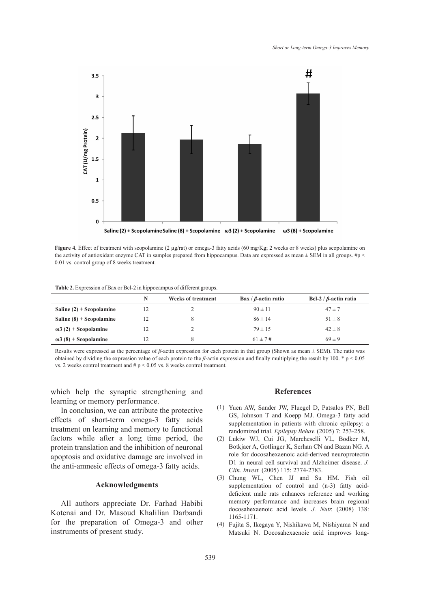

**Figure 4.** Effect of treatment with scopolamine (2 µg/rat) or omega-3 fatty acids (60 mg/Kg; 2 weeks or 8 weeks) plus scopolamine on the activity of antioxidant enzyme CAT in samples prepared from hippocampus. Data are expressed as mean  $\pm$  SEM in all groups.  $\#p$  < 0.01 vs. control group of 8 weeks treatment.

|  |  |  | Table 2. Expression of Bax or Bcl-2 in hippocampus of different groups. |
|--|--|--|-------------------------------------------------------------------------|
|--|--|--|-------------------------------------------------------------------------|

|                              | N  | <b>Weeks of treatment</b> | $\mathbf{B}$ ax / $\beta$ -actin ratio | Bcl-2 / $\beta$ -actin ratio |
|------------------------------|----|---------------------------|----------------------------------------|------------------------------|
| Saline $(2)$ + Scopolamine   | 12 |                           | $90 \pm 11$                            | $47 \pm 7$                   |
| Saline $(8)$ + Scopolamine   | 12 |                           | $86 \pm 14$                            | $51 \pm 8$                   |
| $\omega$ 3 (2) + Scopolamine | 12 |                           | $79 \pm 15$                            | $42 \pm 8$                   |
| $\omega$ 3 (8) + Scopolamine | 12 |                           | $61 \pm 7 \,\text{#}$                  | $69 \pm 9$                   |

Results were expressed as the percentage of *β*-actin expression for each protein in that group (Shown as mean ± SEM). The ratio was obtained by dividing the expression value of each protein to the *β*-actin expression and finally multiplying the result by 100. \* p < 0.05 vs. 2 weeks control treatment and # p < 0.05 vs. 8 weeks control treatment.

which help the synaptic strengthening and learning or memory performance.

In conclusion, we can attribute the protective effects of short-term omega-3 fatty acids treatment on learning and memory to functional factors while after a long time period, the protein translation and the inhibition of neuronal apoptosis and oxidative damage are involved in the anti-amnesic effects of omega-3 fatty acids.

## **Acknowledgments**

All authors appreciate Dr. Farhad Habibi Kotenai and Dr. Masoud Khalilian Darbandi for the preparation of Omega-3 and other instruments of present study.

### **References**

- (1) Yuen AW, Sander JW, Fluegel D, Patsalos PN, Bell GS, Johnson T and Koepp MJ. Omega-3 fatty acid supplementation in patients with chronic epilepsy: a randomized trial. *Epilepsy Behav.* (2005) 7: 253-258.
- Lukiw WJ, Cui JG, Marcheselli VL, Bodker M, (2) Botkjaer A, Gotlinger K, Serhan CN and Bazan NG. A role for docosahexaenoic acid-derived neuroprotectin D1 in neural cell survival and Alzheimer disease. *J. Clin. Invest.* (2005) 115: 2774-2783.
- Chung WL, Chen JJ and Su HM. Fish oil (3) supplementation of control and (n-3) fatty aciddeficient male rats enhances reference and working memory performance and increases brain regional docosahexaenoic acid levels. *J. Nutr.* (2008) 138: 1165-1171.
- Fujita S, Ikegaya Y, Nishikawa M, Nishiyama N and (4)Matsuki N. Docosahexaenoic acid improves long-